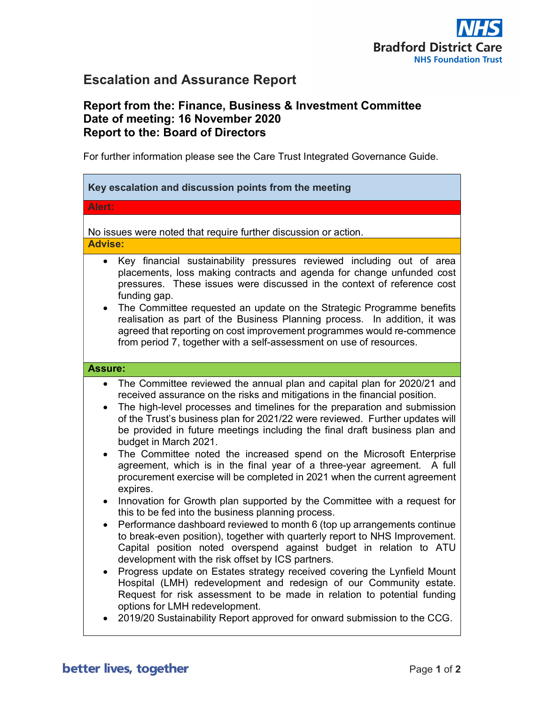

# Escalation and Assurance Report

# Report from the: Finance, Business & Investment Committee Date of meeting: 16 November 2020 Report to the: Board of Directors

For further information please see the Care Trust Integrated Governance Guide.

| Alert:<br>No issues were noted that require further discussion or action.<br><b>Advise:</b><br>Key financial sustainability pressures reviewed including out of area<br>$\bullet$<br>placements, loss making contracts and agenda for change unfunded cost<br>pressures. These issues were discussed in the context of reference cost<br>funding gap.<br>The Committee requested an update on the Strategic Programme benefits<br>realisation as part of the Business Planning process. In addition, it was<br>agreed that reporting on cost improvement programmes would re-commence<br>from period 7, together with a self-assessment on use of resources.<br><b>Assure:</b><br>The Committee reviewed the annual plan and capital plan for 2020/21 and<br>$\bullet$<br>received assurance on the risks and mitigations in the financial position.<br>The high-level processes and timelines for the preparation and submission<br>$\bullet$<br>of the Trust's business plan for 2021/22 were reviewed. Further updates will<br>be provided in future meetings including the final draft business plan and<br>budget in March 2021.<br>The Committee noted the increased spend on the Microsoft Enterprise<br>agreement, which is in the final year of a three-year agreement.<br>A full<br>procurement exercise will be completed in 2021 when the current agreement<br>expires.<br>Innovation for Growth plan supported by the Committee with a request for<br>this to be fed into the business planning process.<br>Performance dashboard reviewed to month 6 (top up arrangements continue<br>$\bullet$<br>to break-even position), together with quarterly report to NHS Improvement.<br>Capital position noted overspend against budget in relation to ATU<br>development with the risk offset by ICS partners.<br>Progress update on Estates strategy received covering the Lynfield Mount<br>$\bullet$<br>Hospital (LMH) redevelopment and redesign of our Community estate. | Key escalation and discussion points from the meeting                   |
|----------------------------------------------------------------------------------------------------------------------------------------------------------------------------------------------------------------------------------------------------------------------------------------------------------------------------------------------------------------------------------------------------------------------------------------------------------------------------------------------------------------------------------------------------------------------------------------------------------------------------------------------------------------------------------------------------------------------------------------------------------------------------------------------------------------------------------------------------------------------------------------------------------------------------------------------------------------------------------------------------------------------------------------------------------------------------------------------------------------------------------------------------------------------------------------------------------------------------------------------------------------------------------------------------------------------------------------------------------------------------------------------------------------------------------------------------------------------------------------------------------------------------------------------------------------------------------------------------------------------------------------------------------------------------------------------------------------------------------------------------------------------------------------------------------------------------------------------------------------------------------------------------------------------------------------------------------------------------------------|-------------------------------------------------------------------------|
|                                                                                                                                                                                                                                                                                                                                                                                                                                                                                                                                                                                                                                                                                                                                                                                                                                                                                                                                                                                                                                                                                                                                                                                                                                                                                                                                                                                                                                                                                                                                                                                                                                                                                                                                                                                                                                                                                                                                                                                        |                                                                         |
|                                                                                                                                                                                                                                                                                                                                                                                                                                                                                                                                                                                                                                                                                                                                                                                                                                                                                                                                                                                                                                                                                                                                                                                                                                                                                                                                                                                                                                                                                                                                                                                                                                                                                                                                                                                                                                                                                                                                                                                        |                                                                         |
|                                                                                                                                                                                                                                                                                                                                                                                                                                                                                                                                                                                                                                                                                                                                                                                                                                                                                                                                                                                                                                                                                                                                                                                                                                                                                                                                                                                                                                                                                                                                                                                                                                                                                                                                                                                                                                                                                                                                                                                        |                                                                         |
|                                                                                                                                                                                                                                                                                                                                                                                                                                                                                                                                                                                                                                                                                                                                                                                                                                                                                                                                                                                                                                                                                                                                                                                                                                                                                                                                                                                                                                                                                                                                                                                                                                                                                                                                                                                                                                                                                                                                                                                        |                                                                         |
| options for LMH redevelopment.<br>2019/20 Sustainability Report approved for onward submission to the CCG.                                                                                                                                                                                                                                                                                                                                                                                                                                                                                                                                                                                                                                                                                                                                                                                                                                                                                                                                                                                                                                                                                                                                                                                                                                                                                                                                                                                                                                                                                                                                                                                                                                                                                                                                                                                                                                                                             | Request for risk assessment to be made in relation to potential funding |